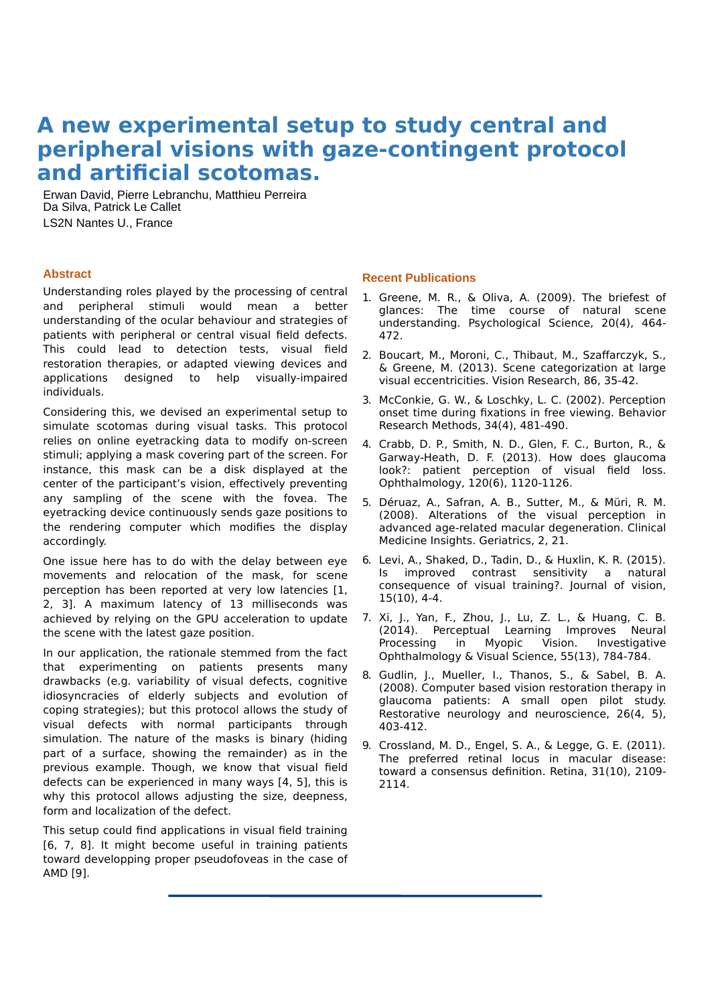## **A new experimental setup to study central and peripheral visions with gaze-contingent protocol and artificial scotomas.**

Erwan David, Pierre Lebranchu, Matthieu Perreira Da Silva, Patrick Le Callet LS2N Nantes U., France

## **Abstract**

Understanding roles played by the processing of central and peripheral stimuli would mean a better understanding of the ocular behaviour and strategies of patients with peripheral or central visual field defects. This could lead to detection tests, visual field restoration therapies, or adapted viewing devices and applications designed to help visually-impaired individuals.

Considering this, we devised an experimental setup to simulate scotomas during visual tasks. This protocol relies on online eyetracking data to modify on-screen stimuli; applying a mask covering part of the screen. For instance, this mask can be a disk displayed at the center of the participant's vision, effectively preventing any sampling of the scene with the fovea. The eyetracking device continuously sends gaze positions to the rendering computer which modifies the display accordingly.

One issue here has to do with the delay between eye movements and relocation of the mask, for scene perception has been reported at very low latencies [1, 2, 3]. A maximum latency of 13 milliseconds was achieved by relying on the GPU acceleration to update the scene with the latest gaze position.

In our application, the rationale stemmed from the fact that experimenting on patients presents many drawbacks (e.g. variability of visual defects, cognitive idiosyncracies of elderly subjects and evolution of coping strategies); but this protocol allows the study of visual defects with normal participants through simulation. The nature of the masks is binary (hiding part of a surface, showing the remainder) as in the previous example. Though, we know that visual field defects can be experienced in many ways [4, 5], this is why this protocol allows adjusting the size, deepness, form and localization of the defect.

This setup could find applications in visual field training [6, 7, 8]. It might become useful in training patients toward developping proper pseudofoveas in the case of AMD [9].

## **Recent Publications**

- 1. Greene, M. R., & Oliva, A. (2009). The briefest of glances: The time course of natural scene understanding. Psychological Science, 20(4), 464- 472.
- 2. Boucart, M., Moroni, C., Thibaut, M., Szaffarczyk, S., & Greene, M. (2013). Scene categorization at large visual eccentricities. Vision Research, 86, 35-42.
- 3. McConkie, G. W., & Loschky, L. C. (2002). Perception onset time during fixations in free viewing. Behavior Research Methods, 34(4), 481-490.
- 4. Crabb, D. P., Smith, N. D., Glen, F. C., Burton, R., & Garway-Heath, D. F. (2013). How does glaucoma look?: patient perception of visual field loss. Ophthalmology, 120(6), 1120-1126.
- 5. Déruaz, A., Safran, A. B., Sutter, M., & Müri, R. M. (2008). Alterations of the visual perception in advanced age-related macular degeneration. Clinical Medicine Insights. Geriatrics, 2, 21.
- 6. Levi, A., Shaked, D., Tadin, D., & Huxlin, K. R. (2015). Is improved contrast sensitivity a natural consequence of visual training?. Journal of vision, 15(10), 4-4.
- 7. Xi, J., Yan, F., Zhou, J., Lu, Z. L., & Huang, C. B. (2014). Perceptual Learning Improves Neural Processing in Myopic Vision. Investigative Ophthalmology & Visual Science, 55(13), 784-784.
- 8. Gudlin, J., Mueller, I., Thanos, S., & Sabel, B. A. (2008). Computer based vision restoration therapy in glaucoma patients: A small open pilot study. Restorative neurology and neuroscience, 26(4, 5), 403-412.
- 9. Crossland, M. D., Engel, S. A., & Legge, G. E. (2011). The preferred retinal locus in macular disease: toward a consensus definition. Retina, 31(10), 2109- 2114.